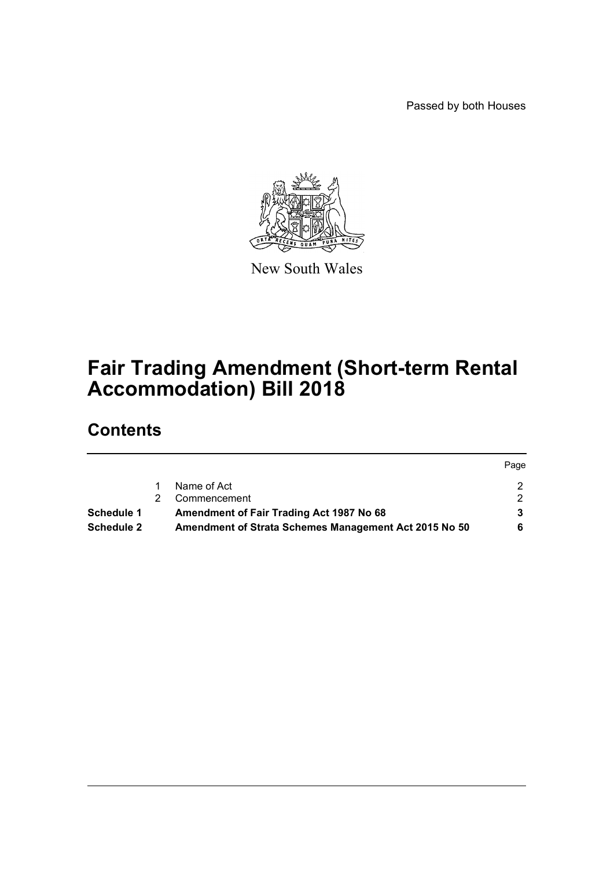Passed by both Houses



New South Wales

# **Fair Trading Amendment (Short-term Rental Accommodation) Bill 2018**

# **Contents**

|            |                                                       | Page |
|------------|-------------------------------------------------------|------|
|            | Name of Act                                           |      |
|            | Commencement                                          |      |
| Schedule 1 | Amendment of Fair Trading Act 1987 No 68              |      |
| Schedule 2 | Amendment of Strata Schemes Management Act 2015 No 50 |      |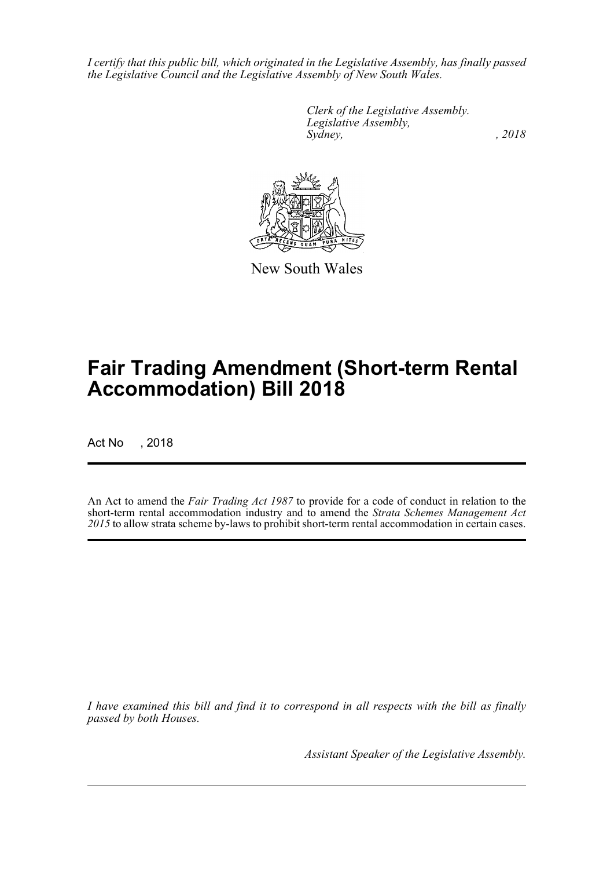*I certify that this public bill, which originated in the Legislative Assembly, has finally passed the Legislative Council and the Legislative Assembly of New South Wales.*

> *Clerk of the Legislative Assembly. Legislative Assembly, Sydney, , 2018*



New South Wales

# **Fair Trading Amendment (Short-term Rental Accommodation) Bill 2018**

Act No , 2018

An Act to amend the *Fair Trading Act 1987* to provide for a code of conduct in relation to the short-term rental accommodation industry and to amend the *Strata Schemes Management Act 2015* to allow strata scheme by-laws to prohibit short-term rental accommodation in certain cases.

*I have examined this bill and find it to correspond in all respects with the bill as finally passed by both Houses.*

*Assistant Speaker of the Legislative Assembly.*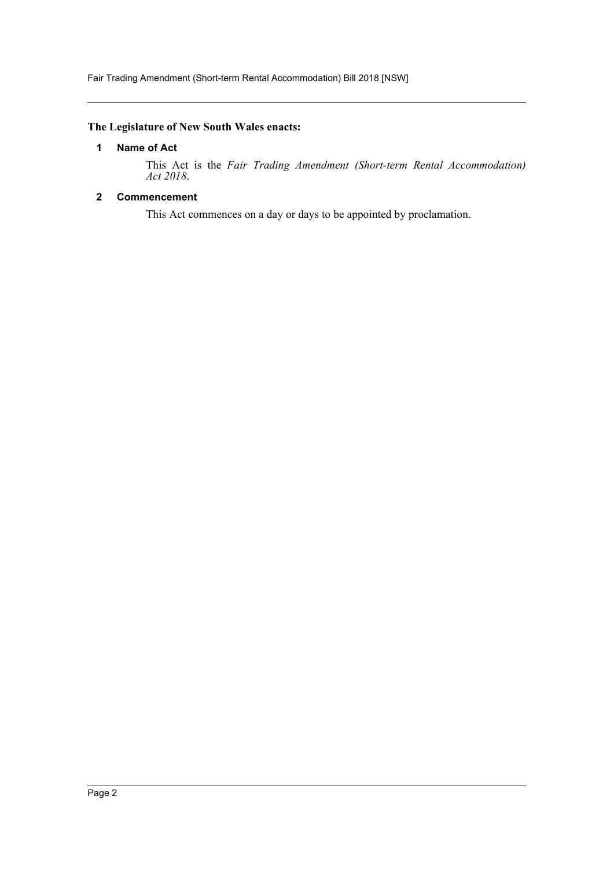Fair Trading Amendment (Short-term Rental Accommodation) Bill 2018 [NSW]

### <span id="page-2-0"></span>**The Legislature of New South Wales enacts:**

## **1 Name of Act**

This Act is the *Fair Trading Amendment (Short-term Rental Accommodation) Act 2018*.

## <span id="page-2-1"></span>**2 Commencement**

This Act commences on a day or days to be appointed by proclamation.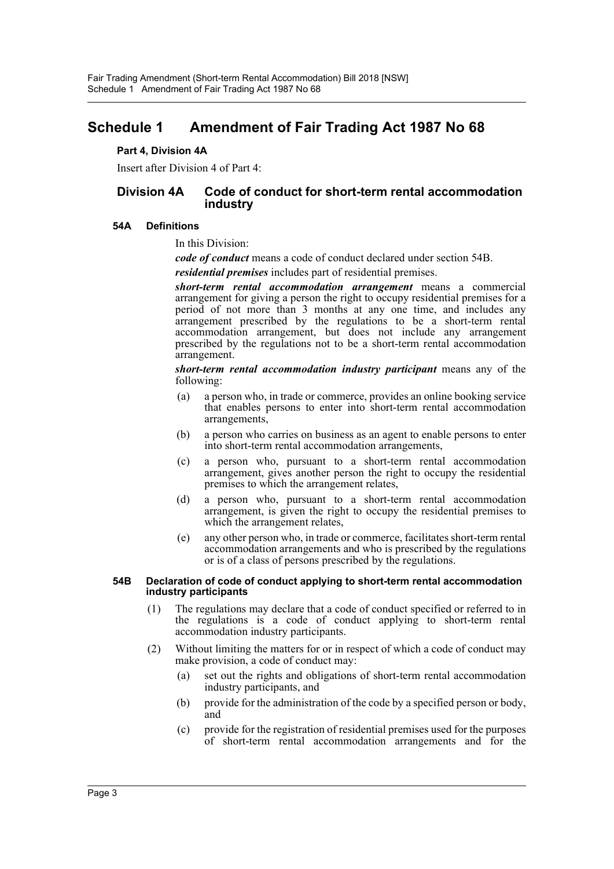# <span id="page-3-0"></span>**Schedule 1 Amendment of Fair Trading Act 1987 No 68**

#### **Part 4, Division 4A**

Insert after Division 4 of Part 4:

## **Division 4A Code of conduct for short-term rental accommodation industry**

#### **54A Definitions**

In this Division:

*code of conduct* means a code of conduct declared under section 54B.

*residential premises* includes part of residential premises.

*short-term rental accommodation arrangement* means a commercial arrangement for giving a person the right to occupy residential premises for a period of not more than 3 months at any one time, and includes any arrangement prescribed by the regulations to be a short-term rental accommodation arrangement, but does not include any arrangement prescribed by the regulations not to be a short-term rental accommodation arrangement.

*short-term rental accommodation industry participant* means any of the following:

- (a) a person who, in trade or commerce, provides an online booking service that enables persons to enter into short-term rental accommodation arrangements,
- (b) a person who carries on business as an agent to enable persons to enter into short-term rental accommodation arrangements,
- (c) a person who, pursuant to a short-term rental accommodation arrangement, gives another person the right to occupy the residential premises to which the arrangement relates,
- (d) a person who, pursuant to a short-term rental accommodation arrangement, is given the right to occupy the residential premises to which the arrangement relates,
- (e) any other person who, in trade or commerce, facilitates short-term rental accommodation arrangements and who is prescribed by the regulations or is of a class of persons prescribed by the regulations.

#### **54B Declaration of code of conduct applying to short-term rental accommodation industry participants**

- (1) The regulations may declare that a code of conduct specified or referred to in the regulations is a code of conduct applying to short-term rental accommodation industry participants.
- (2) Without limiting the matters for or in respect of which a code of conduct may make provision, a code of conduct may:
	- (a) set out the rights and obligations of short-term rental accommodation industry participants, and
	- (b) provide for the administration of the code by a specified person or body, and
	- (c) provide for the registration of residential premises used for the purposes of short-term rental accommodation arrangements and for the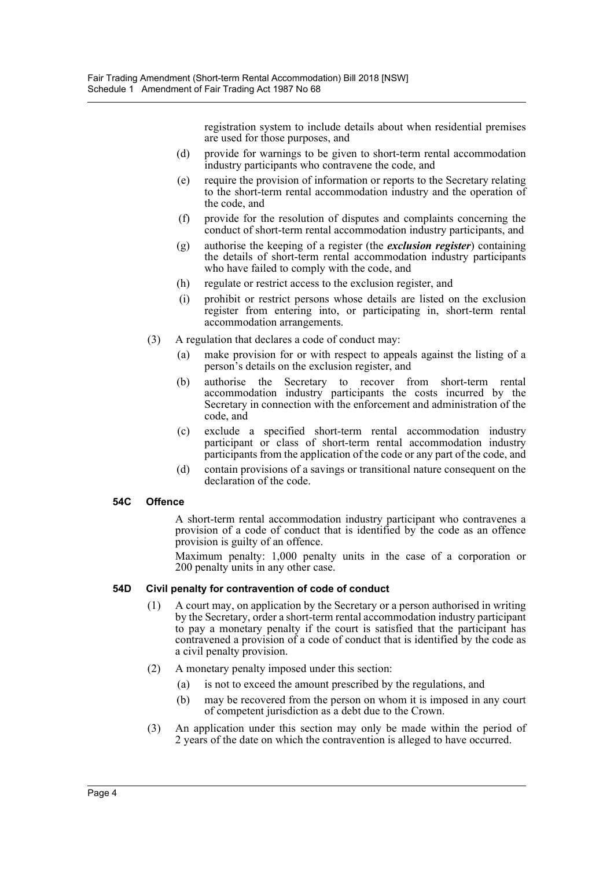registration system to include details about when residential premises are used for those purposes, and

- (d) provide for warnings to be given to short-term rental accommodation industry participants who contravene the code, and
- (e) require the provision of information or reports to the Secretary relating to the short-term rental accommodation industry and the operation of the code, and
- (f) provide for the resolution of disputes and complaints concerning the conduct of short-term rental accommodation industry participants, and
- (g) authorise the keeping of a register (the *exclusion register*) containing the details of short-term rental accommodation industry participants who have failed to comply with the code, and
- (h) regulate or restrict access to the exclusion register, and
- (i) prohibit or restrict persons whose details are listed on the exclusion register from entering into, or participating in, short-term rental accommodation arrangements.
- (3) A regulation that declares a code of conduct may:
	- (a) make provision for or with respect to appeals against the listing of a person's details on the exclusion register, and
	- (b) authorise the Secretary to recover from short-term rental accommodation industry participants the costs incurred by the Secretary in connection with the enforcement and administration of the code, and
	- (c) exclude a specified short-term rental accommodation industry participant or class of short-term rental accommodation industry participants from the application of the code or any part of the code, and
	- (d) contain provisions of a savings or transitional nature consequent on the declaration of the code.

#### **54C Offence**

A short-term rental accommodation industry participant who contravenes a provision of a code of conduct that is identified by the code as an offence provision is guilty of an offence.

Maximum penalty: 1,000 penalty units in the case of a corporation or 200 penalty units in any other case.

#### **54D Civil penalty for contravention of code of conduct**

- (1) A court may, on application by the Secretary or a person authorised in writing by the Secretary, order a short-term rental accommodation industry participant to pay a monetary penalty if the court is satisfied that the participant has contravened a provision of a code of conduct that is identified by the code as a civil penalty provision.
- (2) A monetary penalty imposed under this section:
	- (a) is not to exceed the amount prescribed by the regulations, and
	- (b) may be recovered from the person on whom it is imposed in any court of competent jurisdiction as a debt due to the Crown.
- (3) An application under this section may only be made within the period of 2 years of the date on which the contravention is alleged to have occurred.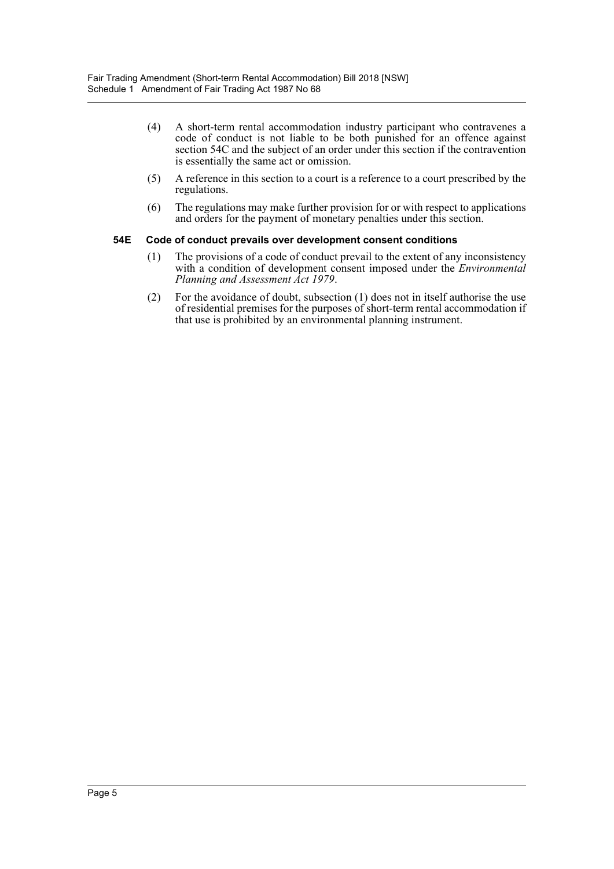- (4) A short-term rental accommodation industry participant who contravenes a code of conduct is not liable to be both punished for an offence against section 54C and the subject of an order under this section if the contravention is essentially the same act or omission.
- (5) A reference in this section to a court is a reference to a court prescribed by the regulations.
- (6) The regulations may make further provision for or with respect to applications and orders for the payment of monetary penalties under this section.

#### **54E Code of conduct prevails over development consent conditions**

- (1) The provisions of a code of conduct prevail to the extent of any inconsistency with a condition of development consent imposed under the *Environmental Planning and Assessment Act 1979*.
- (2) For the avoidance of doubt, subsection (1) does not in itself authorise the use of residential premises for the purposes of short-term rental accommodation if that use is prohibited by an environmental planning instrument.